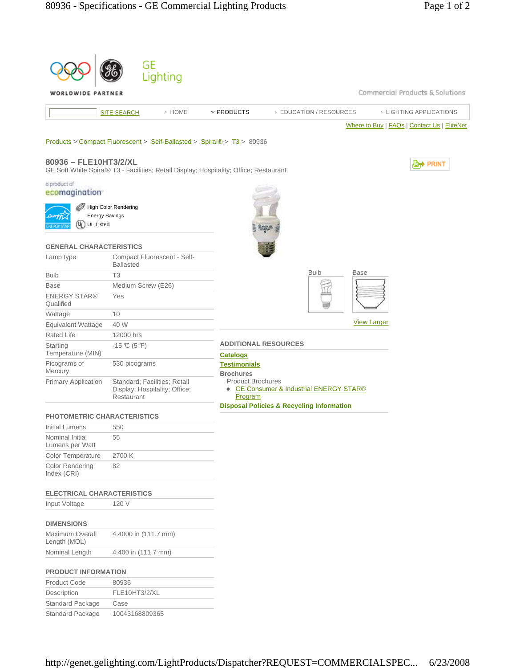|                                    | GE                                                                                     |                                         |                                                      |                    |                                             |  |
|------------------------------------|----------------------------------------------------------------------------------------|-----------------------------------------|------------------------------------------------------|--------------------|---------------------------------------------|--|
|                                    | Lighting                                                                               |                                         |                                                      |                    |                                             |  |
| WORLDWIDE PARTNER                  |                                                                                        |                                         |                                                      |                    | Commercial Products & Solutions             |  |
|                                    | > HOME<br><b>SITE SEARCH</b>                                                           | * PRODUCTS                              | <b>EDUCATION / RESOURCES</b>                         |                    | <b>EIGHTING APPLICATIONS</b>                |  |
|                                    |                                                                                        |                                         |                                                      |                    | Where to Buy   FAQs   Contact Us   EliteNet |  |
|                                    | Products > Compact Fluorescent > Self-Ballasted > Spiral® > T3 > 80936                 |                                         |                                                      |                    |                                             |  |
| 80936 - FLE10HT3/2/XL              | GE Soft White Spiral® T3 - Facilities; Retail Display; Hospitality; Office; Restaurant |                                         |                                                      |                    | , PRINT                                     |  |
| a product of                       |                                                                                        |                                         |                                                      |                    |                                             |  |
| ecomagination                      |                                                                                        |                                         |                                                      |                    |                                             |  |
|                                    | High Color Rendering                                                                   |                                         |                                                      |                    |                                             |  |
|                                    | <b>Energy Savings</b>                                                                  |                                         |                                                      |                    |                                             |  |
| ભ<br><b>UL Listed</b>              |                                                                                        |                                         |                                                      |                    |                                             |  |
| <b>GENERAL CHARACTERISTICS</b>     |                                                                                        |                                         |                                                      |                    |                                             |  |
| Lamp type                          | Compact Fluorescent - Self-<br><b>Ballasted</b>                                        |                                         |                                                      |                    |                                             |  |
| <b>Bulb</b>                        | T <sub>3</sub>                                                                         |                                         | <b>Bulb</b><br><b>Base</b>                           |                    |                                             |  |
| <b>Base</b>                        | Medium Screw (E26)                                                                     |                                         |                                                      |                    |                                             |  |
| <b>ENERGY STAR®</b><br>Qualified   | Yes                                                                                    |                                         |                                                      |                    |                                             |  |
| Wattage                            | 10                                                                                     |                                         |                                                      |                    |                                             |  |
| Equivalent Wattage                 | 40 W                                                                                   |                                         |                                                      | <b>View Larger</b> |                                             |  |
| Rated Life                         | 12000 hrs                                                                              |                                         |                                                      |                    |                                             |  |
| Starting<br>Temperature (MIN)      | $-15 \text{ C} (5 \text{ F})$                                                          | <u>Catalogs</u>                         | <b>ADDITIONAL RESOURCES</b>                          |                    |                                             |  |
| Picograms of<br>Mercury            | 530 picograms                                                                          | <b>Testimonials</b><br><b>Brochures</b> |                                                      |                    |                                             |  |
| <b>Primary Application</b>         | Standard; Facilities; Retail<br>Display; Hospitality; Office;<br>Restaurant            | <b>Product Brochures</b><br>Program     | • GE Consumer & Industrial ENERGY STAR®              |                    |                                             |  |
| <b>PHOTOMETRIC CHARACTERISTICS</b> |                                                                                        |                                         | <b>Disposal Policies &amp; Recycling Information</b> |                    |                                             |  |
| Initial Lumens                     | 550                                                                                    |                                         |                                                      |                    |                                             |  |
| Nominal Initial<br>Lumens per Watt | 55                                                                                     |                                         |                                                      |                    |                                             |  |
| <b>Color Temperature</b>           | 2700 K                                                                                 |                                         |                                                      |                    |                                             |  |
| Color Rendering<br>Index (CRI)     | 82                                                                                     |                                         |                                                      |                    |                                             |  |
| <b>ELECTRICAL CHARACTERISTICS</b>  |                                                                                        |                                         |                                                      |                    |                                             |  |
| Input Voltage                      | 120 V                                                                                  |                                         |                                                      |                    |                                             |  |
| <b>DIMENSIONS</b>                  |                                                                                        |                                         |                                                      |                    |                                             |  |
| Maximum Overall<br>Length (MOL)    | 4.4000 in (111.7 mm)                                                                   |                                         |                                                      |                    |                                             |  |
| Nominal Length                     | 4.400 in (111.7 mm)                                                                    |                                         |                                                      |                    |                                             |  |
| <b>PRODUCT INFORMATION</b>         |                                                                                        |                                         |                                                      |                    |                                             |  |
| Product Code                       | 80936                                                                                  |                                         |                                                      |                    |                                             |  |

http://genet.gelighting.com/LightProducts/Dispatcher?REQUEST=COMMERCIALSPEC... 6/23/2008

Description FLE10HT3/2/XL

Standard Package 10043168809365

Standard Package Case